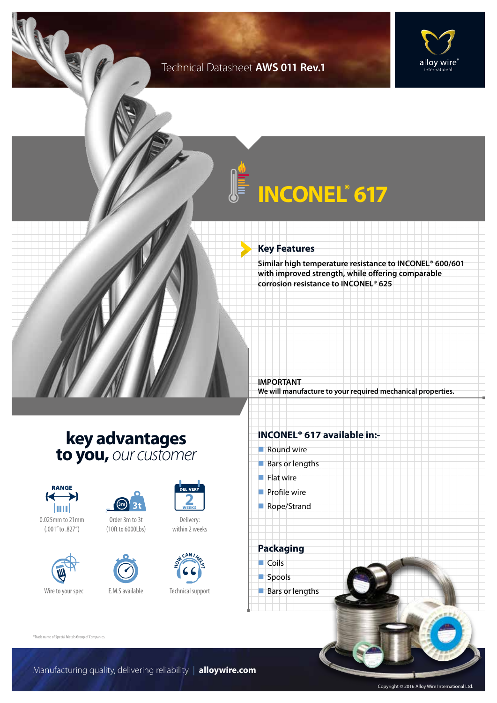### Technical Datasheet **AWS 011 Rev.1**



# **INCONEL® 617**

### **Key Features**

**Similar high temperature resistance to INCONEL® 600/601 with improved strength, while offering comparable corrosion resistance to INCONEL® 625**

**IMPORTANT We will manufacture to your required mechanical properties.**

### **key advantages to you,** *our customer*



0.025mm to 21mm (.001" to .827")



Wire to your spec E.M.S available





Delivery: within 2 weeks

**2**



Technical support

#### **INCONEL® 617 available in:-**

- $\blacksquare$  Round wire
- $Bars$  or lengths
- $\blacksquare$  Flat wire
- $\blacksquare$  Profile wire
- Rope/Strand

**Packaging**  $\Box$  Coils spools

 $\blacksquare$  Bars or lengths

®Trade name of Special Metals Group of Companies.

Manufacturing quality, delivering reliability | **alloywire.com**

Copyright © 2016 Alloy Wire International Ltd.